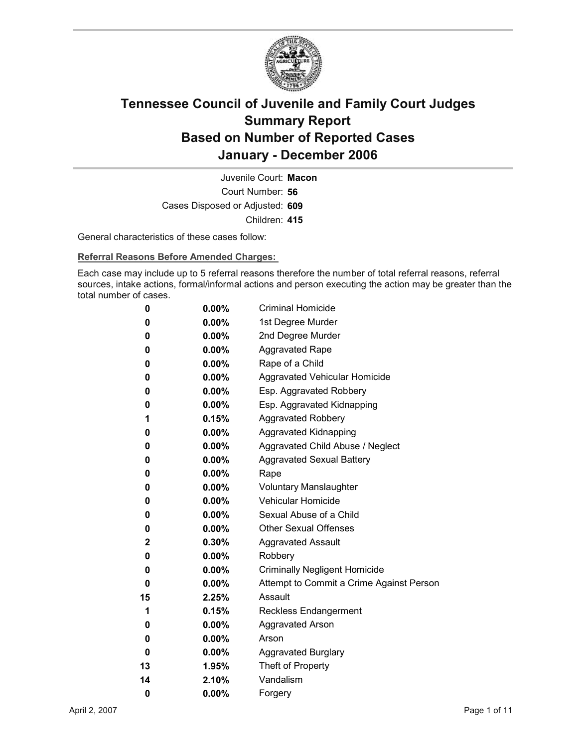

Court Number: **56** Juvenile Court: **Macon** Cases Disposed or Adjusted: **609** Children: **415**

General characteristics of these cases follow:

**Referral Reasons Before Amended Charges:** 

Each case may include up to 5 referral reasons therefore the number of total referral reasons, referral sources, intake actions, formal/informal actions and person executing the action may be greater than the total number of cases.

| 0  | $0.00\%$ | <b>Criminal Homicide</b>                 |
|----|----------|------------------------------------------|
| 0  | $0.00\%$ | 1st Degree Murder                        |
| 0  | $0.00\%$ | 2nd Degree Murder                        |
| 0  | $0.00\%$ | <b>Aggravated Rape</b>                   |
| 0  | $0.00\%$ | Rape of a Child                          |
| 0  | $0.00\%$ | Aggravated Vehicular Homicide            |
| 0  | $0.00\%$ | Esp. Aggravated Robbery                  |
| 0  | $0.00\%$ | Esp. Aggravated Kidnapping               |
| 1  | 0.15%    | <b>Aggravated Robbery</b>                |
| 0  | $0.00\%$ | <b>Aggravated Kidnapping</b>             |
| 0  | $0.00\%$ | Aggravated Child Abuse / Neglect         |
| 0  | $0.00\%$ | <b>Aggravated Sexual Battery</b>         |
| 0  | $0.00\%$ | Rape                                     |
| 0  | $0.00\%$ | <b>Voluntary Manslaughter</b>            |
| 0  | $0.00\%$ | <b>Vehicular Homicide</b>                |
| 0  | $0.00\%$ | Sexual Abuse of a Child                  |
| 0  | $0.00\%$ | <b>Other Sexual Offenses</b>             |
| 2  | $0.30\%$ | <b>Aggravated Assault</b>                |
| 0  | $0.00\%$ | Robbery                                  |
| 0  | $0.00\%$ | <b>Criminally Negligent Homicide</b>     |
| 0  | $0.00\%$ | Attempt to Commit a Crime Against Person |
| 15 | 2.25%    | Assault                                  |
| 1  | 0.15%    | <b>Reckless Endangerment</b>             |
| 0  | $0.00\%$ | <b>Aggravated Arson</b>                  |
| 0  | $0.00\%$ | Arson                                    |
| 0  | $0.00\%$ | <b>Aggravated Burglary</b>               |
| 13 | 1.95%    | Theft of Property                        |
| 14 | 2.10%    | Vandalism                                |
| 0  | 0.00%    | Forgery                                  |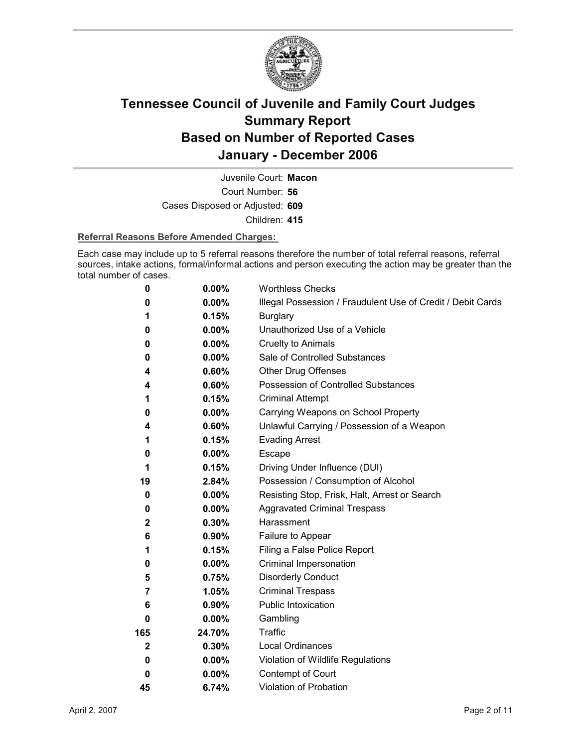

Court Number: **56** Juvenile Court: **Macon** Cases Disposed or Adjusted: **609** Children: **415**

#### **Referral Reasons Before Amended Charges:**

Each case may include up to 5 referral reasons therefore the number of total referral reasons, referral sources, intake actions, formal/informal actions and person executing the action may be greater than the total number of cases.

| 0              | 0.00%    | <b>Worthless Checks</b>                                     |
|----------------|----------|-------------------------------------------------------------|
| 0              | $0.00\%$ | Illegal Possession / Fraudulent Use of Credit / Debit Cards |
| 1              | 0.15%    | <b>Burglary</b>                                             |
| 0              | $0.00\%$ | Unauthorized Use of a Vehicle                               |
| 0              | $0.00\%$ | <b>Cruelty to Animals</b>                                   |
| 0              | $0.00\%$ | Sale of Controlled Substances                               |
| 4              | 0.60%    | <b>Other Drug Offenses</b>                                  |
| 4              | 0.60%    | Possession of Controlled Substances                         |
| 1              | 0.15%    | <b>Criminal Attempt</b>                                     |
| 0              | $0.00\%$ | Carrying Weapons on School Property                         |
| 4              | 0.60%    | Unlawful Carrying / Possession of a Weapon                  |
| 1              | 0.15%    | <b>Evading Arrest</b>                                       |
| 0              | $0.00\%$ | Escape                                                      |
| 1              | 0.15%    | Driving Under Influence (DUI)                               |
| 19             | 2.84%    | Possession / Consumption of Alcohol                         |
| 0              | $0.00\%$ | Resisting Stop, Frisk, Halt, Arrest or Search               |
| 0              | $0.00\%$ | <b>Aggravated Criminal Trespass</b>                         |
| $\mathbf{2}$   | $0.30\%$ | Harassment                                                  |
| 6              | 0.90%    | Failure to Appear                                           |
| 1              | 0.15%    | Filing a False Police Report                                |
| 0              | $0.00\%$ | Criminal Impersonation                                      |
| 5              | 0.75%    | <b>Disorderly Conduct</b>                                   |
| $\overline{7}$ | 1.05%    | <b>Criminal Trespass</b>                                    |
| 6              | $0.90\%$ | Public Intoxication                                         |
| 0              | $0.00\%$ | Gambling                                                    |
| 165            | 24.70%   | <b>Traffic</b>                                              |
| $\mathbf 2$    | $0.30\%$ | Local Ordinances                                            |
| 0              | $0.00\%$ | Violation of Wildlife Regulations                           |
| $\bf{0}$       | $0.00\%$ | Contempt of Court                                           |
| 45             | 6.74%    | Violation of Probation                                      |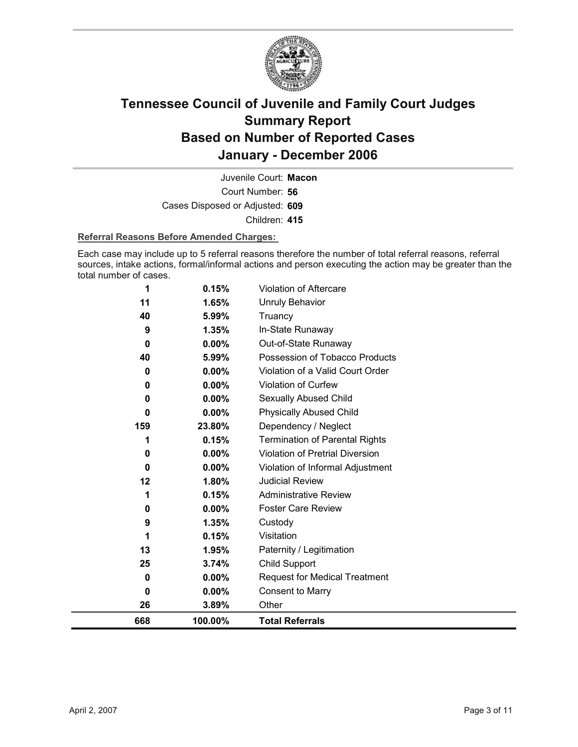

Court Number: **56** Juvenile Court: **Macon** Cases Disposed or Adjusted: **609** Children: **415**

#### **Referral Reasons Before Amended Charges:**

Each case may include up to 5 referral reasons therefore the number of total referral reasons, referral sources, intake actions, formal/informal actions and person executing the action may be greater than the total number of cases.

| 40  | 5.99%    | Truancy                                |
|-----|----------|----------------------------------------|
| 9   | 1.35%    | In-State Runaway                       |
| 0   | 0.00%    | Out-of-State Runaway                   |
| 40  | 5.99%    | Possession of Tobacco Products         |
| 0   | 0.00%    | Violation of a Valid Court Order       |
| 0   | 0.00%    | <b>Violation of Curfew</b>             |
| 0   | 0.00%    | Sexually Abused Child                  |
| 0   | 0.00%    | <b>Physically Abused Child</b>         |
| 159 | 23.80%   | Dependency / Neglect                   |
| 1   | 0.15%    | <b>Termination of Parental Rights</b>  |
| 0   | $0.00\%$ | <b>Violation of Pretrial Diversion</b> |
| 0   | 0.00%    | Violation of Informal Adjustment       |
| 12  | 1.80%    | <b>Judicial Review</b>                 |
| 1   | 0.15%    | <b>Administrative Review</b>           |
| 0   | $0.00\%$ | <b>Foster Care Review</b>              |
| 9   | 1.35%    | Custody                                |
| 1   | 0.15%    | Visitation                             |
| 13  | 1.95%    | Paternity / Legitimation               |
| 25  | 3.74%    | Child Support                          |
| 0   | $0.00\%$ | <b>Request for Medical Treatment</b>   |
| 0   | 0.00%    | <b>Consent to Marry</b>                |
| 26  | 3.89%    | Other                                  |
| 668 | 100.00%  | <b>Total Referrals</b>                 |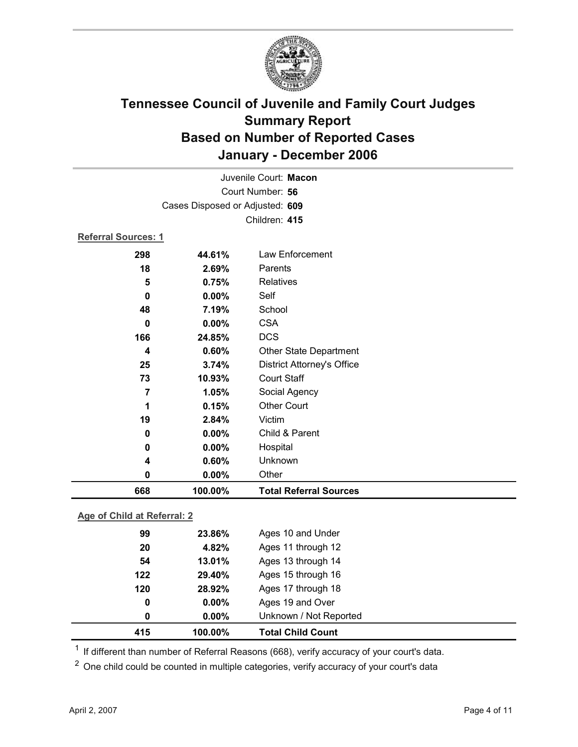

|                             |                                 | Juvenile Court: Macon             |  |  |
|-----------------------------|---------------------------------|-----------------------------------|--|--|
| Court Number: 56            |                                 |                                   |  |  |
|                             | Cases Disposed or Adjusted: 609 |                                   |  |  |
|                             |                                 | Children: 415                     |  |  |
| Referral Sources: 1         |                                 |                                   |  |  |
| 298                         | 44.61%                          | Law Enforcement                   |  |  |
| 18                          | 2.69%                           | Parents                           |  |  |
| 5                           | 0.75%                           | <b>Relatives</b>                  |  |  |
| $\mathbf 0$                 | 0.00%                           | Self                              |  |  |
| 48                          | 7.19%                           | School                            |  |  |
| $\bf{0}$                    | 0.00%                           | <b>CSA</b>                        |  |  |
| 166                         | 24.85%                          | <b>DCS</b>                        |  |  |
| 4                           | 0.60%                           | Other State Department            |  |  |
| 25                          | 3.74%                           | <b>District Attorney's Office</b> |  |  |
| 73                          | 10.93%                          | <b>Court Staff</b>                |  |  |
| $\overline{7}$              | 1.05%                           | Social Agency                     |  |  |
| 1                           | 0.15%                           | <b>Other Court</b>                |  |  |
| 19                          | 2.84%                           | Victim                            |  |  |
| 0                           | 0.00%                           | Child & Parent                    |  |  |
| $\bf{0}$                    | 0.00%                           | Hospital                          |  |  |
| 4                           | 0.60%                           | Unknown                           |  |  |
| 0                           | 0.00%                           | Other                             |  |  |
| 668                         | 100.00%                         | <b>Total Referral Sources</b>     |  |  |
| Age of Child at Referral: 2 |                                 |                                   |  |  |

| 415                          | 100.00%  | <b>Total Child Count</b> |  |
|------------------------------|----------|--------------------------|--|
| 0                            | $0.00\%$ | Unknown / Not Reported   |  |
| 0                            | $0.00\%$ | Ages 19 and Over         |  |
| 120                          | 28.92%   | Ages 17 through 18       |  |
| 122                          | 29.40%   | Ages 15 through 16       |  |
| 54                           | 13.01%   | Ages 13 through 14       |  |
| 20                           | 4.82%    | Ages 11 through 12       |  |
| 99                           | 23.86%   | Ages 10 and Under        |  |
| Age of Gillia at Referral. Z |          |                          |  |

<sup>1</sup> If different than number of Referral Reasons (668), verify accuracy of your court's data.

<sup>2</sup> One child could be counted in multiple categories, verify accuracy of your court's data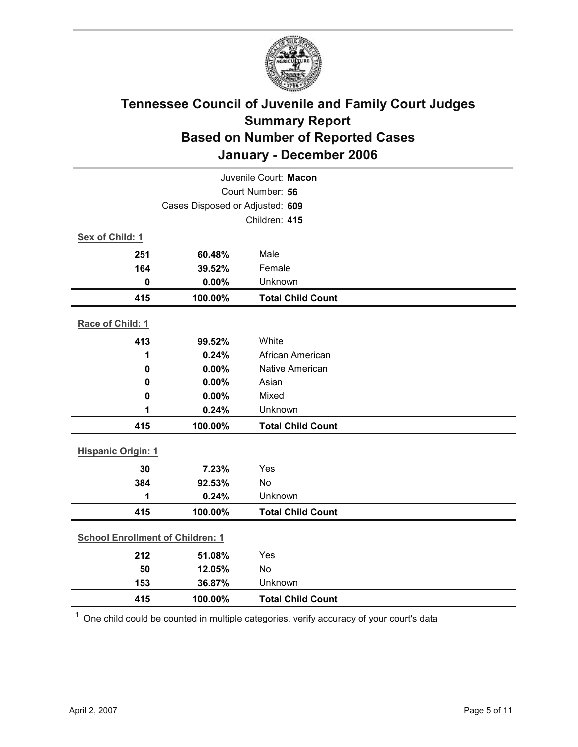

| Juvenile Court: Macon                   |                                 |                          |  |  |
|-----------------------------------------|---------------------------------|--------------------------|--|--|
| Court Number: 56                        |                                 |                          |  |  |
|                                         | Cases Disposed or Adjusted: 609 |                          |  |  |
|                                         |                                 | Children: 415            |  |  |
| Sex of Child: 1                         |                                 |                          |  |  |
| 251                                     | 60.48%                          | Male                     |  |  |
| 164                                     | 39.52%                          | Female                   |  |  |
| $\mathbf 0$                             | 0.00%                           | Unknown                  |  |  |
| 415                                     | 100.00%                         | <b>Total Child Count</b> |  |  |
| Race of Child: 1                        |                                 |                          |  |  |
| 413                                     | 99.52%                          | White                    |  |  |
| 1                                       | 0.24%                           | African American         |  |  |
| $\mathbf 0$                             | 0.00%                           | Native American          |  |  |
| 0                                       | 0.00%                           | Asian                    |  |  |
| $\mathbf 0$                             | 0.00%                           | Mixed                    |  |  |
| 1                                       | 0.24%                           | Unknown                  |  |  |
| 415                                     | 100.00%                         | <b>Total Child Count</b> |  |  |
| <b>Hispanic Origin: 1</b>               |                                 |                          |  |  |
| 30                                      | 7.23%                           | Yes                      |  |  |
| 384                                     | 92.53%                          | <b>No</b>                |  |  |
| 1                                       | 0.24%                           | Unknown                  |  |  |
| 415                                     | 100.00%                         | <b>Total Child Count</b> |  |  |
| <b>School Enrollment of Children: 1</b> |                                 |                          |  |  |
| 212                                     | 51.08%                          | Yes                      |  |  |
| 50                                      | 12.05%                          | No                       |  |  |
| 153                                     | 36.87%                          | Unknown                  |  |  |
| 415                                     | 100.00%                         | <b>Total Child Count</b> |  |  |

 $1$  One child could be counted in multiple categories, verify accuracy of your court's data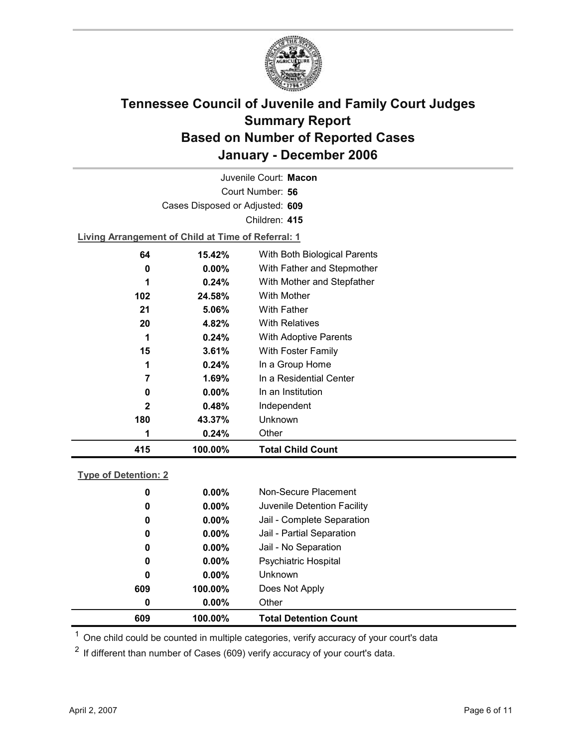

Court Number: **56** Juvenile Court: **Macon** Cases Disposed or Adjusted: **609** Children: **415**

**Living Arrangement of Child at Time of Referral: 1**

| 415          | 100.00%  | <b>Total Child Count</b>     |  |
|--------------|----------|------------------------------|--|
|              | 0.24%    | Other                        |  |
| 180          | 43.37%   | Unknown                      |  |
| $\mathbf{2}$ | 0.48%    | Independent                  |  |
| 0            | $0.00\%$ | In an Institution            |  |
|              | 1.69%    | In a Residential Center      |  |
|              | 0.24%    | In a Group Home              |  |
| 15           | 3.61%    | With Foster Family           |  |
|              | 0.24%    | <b>With Adoptive Parents</b> |  |
| 20           | 4.82%    | <b>With Relatives</b>        |  |
| 21           | 5.06%    | <b>With Father</b>           |  |
| 102          | 24.58%   | With Mother                  |  |
| 1            | 0.24%    | With Mother and Stepfather   |  |
| 0            | $0.00\%$ | With Father and Stepmother   |  |
| 64           | 15.42%   | With Both Biological Parents |  |
|              |          |                              |  |

#### **Type of Detention: 2**

| 609 | 100.00%  | <b>Total Detention Count</b> |  |
|-----|----------|------------------------------|--|
| 0   | $0.00\%$ | Other                        |  |
| 609 | 100.00%  | Does Not Apply               |  |
| 0   | $0.00\%$ | <b>Unknown</b>               |  |
| 0   | $0.00\%$ | <b>Psychiatric Hospital</b>  |  |
| 0   | $0.00\%$ | Jail - No Separation         |  |
| 0   | $0.00\%$ | Jail - Partial Separation    |  |
| 0   | $0.00\%$ | Jail - Complete Separation   |  |
| 0   | $0.00\%$ | Juvenile Detention Facility  |  |
| 0   | $0.00\%$ | Non-Secure Placement         |  |
|     |          |                              |  |

 $<sup>1</sup>$  One child could be counted in multiple categories, verify accuracy of your court's data</sup>

 $2$  If different than number of Cases (609) verify accuracy of your court's data.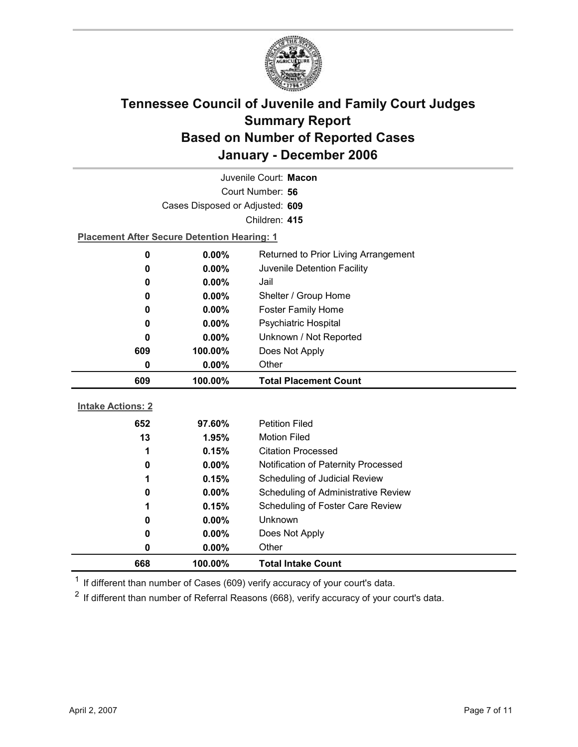

| Juvenile Court: Macon    |                                                    |                                      |  |  |
|--------------------------|----------------------------------------------------|--------------------------------------|--|--|
|                          | Court Number: 56                                   |                                      |  |  |
|                          | Cases Disposed or Adjusted: 609                    |                                      |  |  |
|                          |                                                    | Children: 415                        |  |  |
|                          | <b>Placement After Secure Detention Hearing: 1</b> |                                      |  |  |
| 0                        | 0.00%                                              | Returned to Prior Living Arrangement |  |  |
| 0                        | 0.00%                                              | Juvenile Detention Facility          |  |  |
| 0                        | 0.00%                                              | Jail                                 |  |  |
| 0                        | $0.00\%$                                           | Shelter / Group Home                 |  |  |
| 0                        | 0.00%                                              | <b>Foster Family Home</b>            |  |  |
| 0                        | 0.00%                                              | Psychiatric Hospital                 |  |  |
| 0                        | 0.00%                                              | Unknown / Not Reported               |  |  |
| 609                      | 100.00%                                            | Does Not Apply                       |  |  |
| 0                        | 0.00%                                              | Other                                |  |  |
|                          |                                                    |                                      |  |  |
| 609                      | 100.00%                                            | <b>Total Placement Count</b>         |  |  |
|                          |                                                    |                                      |  |  |
| <b>Intake Actions: 2</b> |                                                    |                                      |  |  |
| 652                      | 97.60%                                             | <b>Petition Filed</b>                |  |  |
| 13                       | 1.95%                                              | <b>Motion Filed</b>                  |  |  |
| 1                        | 0.15%                                              | <b>Citation Processed</b>            |  |  |
| 0                        | $0.00\%$                                           | Notification of Paternity Processed  |  |  |
| 1                        | 0.15%                                              | Scheduling of Judicial Review        |  |  |
| 0                        | 0.00%                                              | Scheduling of Administrative Review  |  |  |
| 1                        | 0.15%                                              | Scheduling of Foster Care Review     |  |  |
| 0                        | 0.00%                                              | Unknown                              |  |  |
| 0<br>0                   | 0.00%<br>$0.00\%$                                  | Does Not Apply<br>Other              |  |  |

 $1$  If different than number of Cases (609) verify accuracy of your court's data.

 $2$  If different than number of Referral Reasons (668), verify accuracy of your court's data.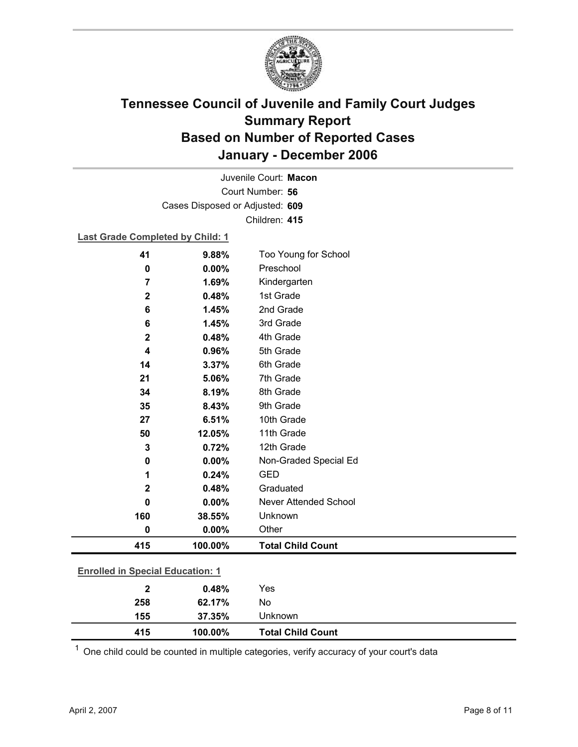

Court Number: **56** Juvenile Court: **Macon** Cases Disposed or Adjusted: **609** Children: **415**

### **Last Grade Completed by Child: 1**

| 62.17%  | No                                                                                                              |
|---------|-----------------------------------------------------------------------------------------------------------------|
| 0.48%   | Yes                                                                                                             |
|         |                                                                                                                 |
| 100.00% | <b>Total Child Count</b>                                                                                        |
| 0.00%   | Other                                                                                                           |
| 38.55%  | Unknown                                                                                                         |
| 0.00%   | Never Attended School                                                                                           |
| 0.48%   | Graduated                                                                                                       |
| 0.24%   | <b>GED</b>                                                                                                      |
| 0.00%   | Non-Graded Special Ed                                                                                           |
| 0.72%   | 12th Grade                                                                                                      |
| 12.05%  | 11th Grade                                                                                                      |
| 6.51%   | 10th Grade                                                                                                      |
| 8.43%   | 9th Grade                                                                                                       |
| 8.19%   | 8th Grade                                                                                                       |
|         | 7th Grade                                                                                                       |
| 3.37%   | 6th Grade                                                                                                       |
|         | 5th Grade                                                                                                       |
|         | 4th Grade                                                                                                       |
|         | 3rd Grade                                                                                                       |
|         | 2nd Grade                                                                                                       |
|         | 1st Grade                                                                                                       |
|         | Preschool<br>Kindergarten                                                                                       |
|         |                                                                                                                 |
|         | 0.00%<br>1.69%<br>0.48%<br>1.45%<br>1.45%<br>0.48%<br>0.96%<br>5.06%<br><b>Enrolled in Special Education: 1</b> |

 $1$  One child could be counted in multiple categories, verify accuracy of your court's data

**155 37.35%** Unknown

**415 100.00% Total Child Count**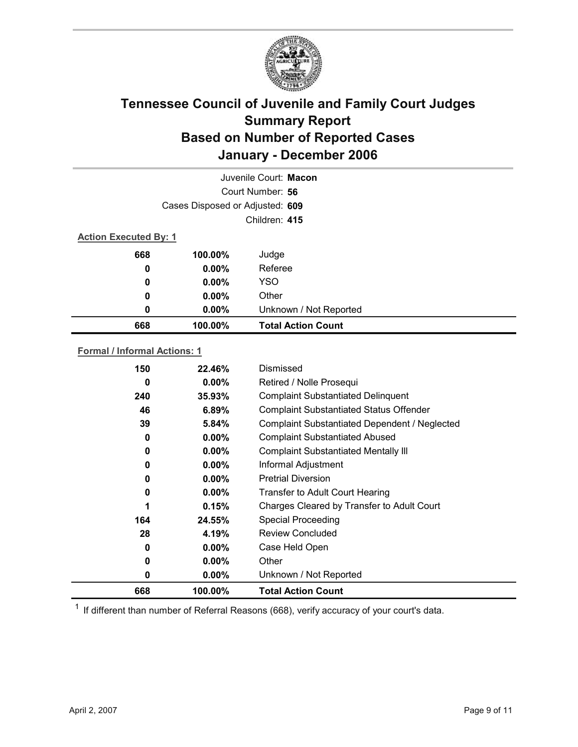

|                              |                                 | Juvenile Court: Macon     |
|------------------------------|---------------------------------|---------------------------|
|                              |                                 | Court Number: 56          |
|                              | Cases Disposed or Adjusted: 609 |                           |
|                              |                                 | Children: 415             |
| <b>Action Executed By: 1</b> |                                 |                           |
| 668                          | 100.00%                         | Judge                     |
| 0                            | $0.00\%$                        | Referee                   |
| $\boldsymbol{0}$             | $0.00\%$                        | <b>YSO</b>                |
| 0                            | $0.00\%$                        | Other                     |
| 0                            | 0.00%                           | Unknown / Not Reported    |
| 668                          | 100.00%                         | <b>Total Action Count</b> |

### **Formal / Informal Actions: 1**

| 150 | 22.46%   | Dismissed                                      |
|-----|----------|------------------------------------------------|
| 0   | $0.00\%$ | Retired / Nolle Prosequi                       |
| 240 | 35.93%   | <b>Complaint Substantiated Delinquent</b>      |
| 46  | 6.89%    | <b>Complaint Substantiated Status Offender</b> |
| 39  | 5.84%    | Complaint Substantiated Dependent / Neglected  |
| 0   | $0.00\%$ | <b>Complaint Substantiated Abused</b>          |
| 0   | $0.00\%$ | <b>Complaint Substantiated Mentally III</b>    |
| 0   | $0.00\%$ | Informal Adjustment                            |
| 0   | $0.00\%$ | <b>Pretrial Diversion</b>                      |
| 0   | $0.00\%$ | Transfer to Adult Court Hearing                |
| 1   | 0.15%    | Charges Cleared by Transfer to Adult Court     |
| 164 | 24.55%   | <b>Special Proceeding</b>                      |
| 28  | 4.19%    | <b>Review Concluded</b>                        |
| 0   | $0.00\%$ | Case Held Open                                 |
| 0   | $0.00\%$ | Other                                          |
| 0   | $0.00\%$ | Unknown / Not Reported                         |
| 668 | 100.00%  | <b>Total Action Count</b>                      |

 $1$  If different than number of Referral Reasons (668), verify accuracy of your court's data.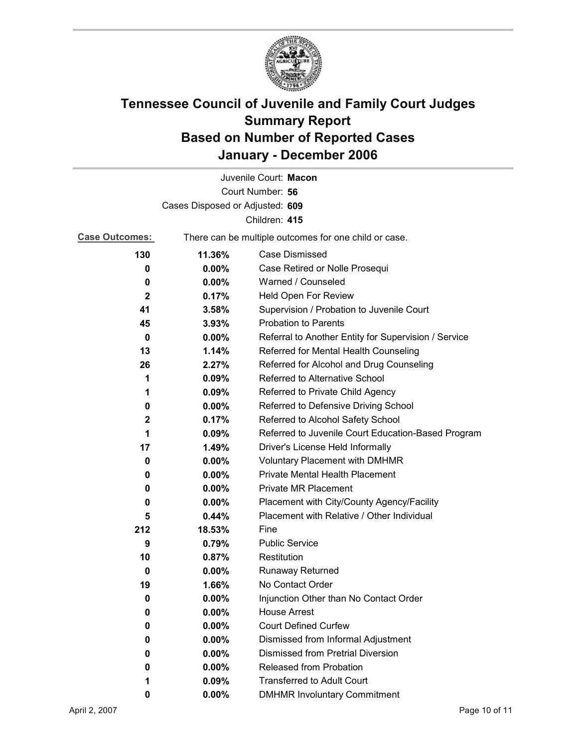

|                                 |                                                       | Juvenile Court: Macon                                |  |
|---------------------------------|-------------------------------------------------------|------------------------------------------------------|--|
|                                 |                                                       | Court Number: 56                                     |  |
| Cases Disposed or Adjusted: 609 |                                                       |                                                      |  |
| Children: 415                   |                                                       |                                                      |  |
| <b>Case Outcomes:</b>           | There can be multiple outcomes for one child or case. |                                                      |  |
| 130                             | 11.36%                                                | <b>Case Dismissed</b>                                |  |
| 0                               | $0.00\%$                                              | Case Retired or Nolle Prosequi                       |  |
| 0                               | 0.00%                                                 | Warned / Counseled                                   |  |
| $\mathbf{2}$                    | 0.17%                                                 | Held Open For Review                                 |  |
| 41                              | 3.58%                                                 | Supervision / Probation to Juvenile Court            |  |
| 45                              | 3.93%                                                 | <b>Probation to Parents</b>                          |  |
| 0                               | $0.00\%$                                              | Referral to Another Entity for Supervision / Service |  |
| 13                              | 1.14%                                                 | Referred for Mental Health Counseling                |  |
| 26                              | 2.27%                                                 | Referred for Alcohol and Drug Counseling             |  |
| 1                               | 0.09%                                                 | <b>Referred to Alternative School</b>                |  |
| 1                               | 0.09%                                                 | Referred to Private Child Agency                     |  |
| 0                               | 0.00%                                                 | Referred to Defensive Driving School                 |  |
| 2                               | 0.17%                                                 | Referred to Alcohol Safety School                    |  |
| 1                               | 0.09%                                                 | Referred to Juvenile Court Education-Based Program   |  |
| 17                              | 1.49%                                                 | Driver's License Held Informally                     |  |
| 0                               | $0.00\%$                                              | <b>Voluntary Placement with DMHMR</b>                |  |
| 0                               | $0.00\%$                                              | <b>Private Mental Health Placement</b>               |  |
| 0                               | $0.00\%$                                              | <b>Private MR Placement</b>                          |  |
| 0                               | $0.00\%$                                              | Placement with City/County Agency/Facility           |  |
| 5                               | 0.44%                                                 | Placement with Relative / Other Individual           |  |
| 212                             | 18.53%                                                | Fine                                                 |  |
| 9                               | 0.79%                                                 | <b>Public Service</b>                                |  |
| 10                              | 0.87%                                                 | Restitution                                          |  |
| 0                               | 0.00%                                                 | Runaway Returned                                     |  |
| 19                              | 1.66%                                                 | No Contact Order                                     |  |
| 0                               | 0.00%                                                 | Injunction Other than No Contact Order               |  |
| 0                               | 0.00%                                                 | <b>House Arrest</b>                                  |  |
| 0                               | $0.00\%$                                              | <b>Court Defined Curfew</b>                          |  |
| 0                               | 0.00%                                                 | Dismissed from Informal Adjustment                   |  |
| 0                               | 0.00%                                                 | <b>Dismissed from Pretrial Diversion</b>             |  |
| 0                               | 0.00%                                                 | Released from Probation                              |  |
| 1                               | 0.09%                                                 | <b>Transferred to Adult Court</b>                    |  |
| 0                               | 0.00%                                                 | <b>DMHMR Involuntary Commitment</b>                  |  |